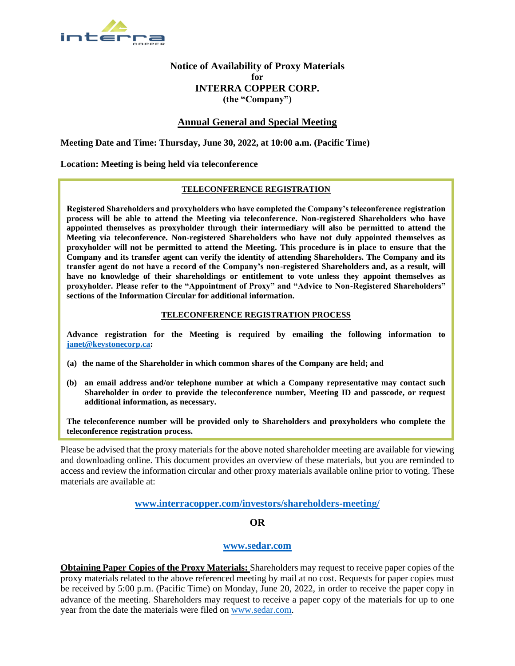

# **Notice of Availability of Proxy Materials for INTERRA COPPER CORP. (the "Company")**

# **Annual General and Special Meeting**

**Meeting Date and Time: Thursday, June 30, 2022, at 10:00 a.m. (Pacific Time)**

### **Location: Meeting is being held via teleconference**

### **TELECONFERENCE REGISTRATION**

**Registered Shareholders and proxyholders who have completed the Company's teleconference registration process will be able to attend the Meeting via teleconference. Non-registered Shareholders who have appointed themselves as proxyholder through their intermediary will also be permitted to attend the Meeting via teleconference. Non-registered Shareholders who have not duly appointed themselves as proxyholder will not be permitted to attend the Meeting. This procedure is in place to ensure that the Company and its transfer agent can verify the identity of attending Shareholders. The Company and its transfer agent do not have a record of the Company's non-registered Shareholders and, as a result, will have no knowledge of their shareholdings or entitlement to vote unless they appoint themselves as proxyholder. Please refer to the "Appointment of Proxy" and "Advice to Non-Registered Shareholders" sections of the Information Circular for additional information.**

#### **TELECONFERENCE REGISTRATION PROCESS**

**Advance registration for the Meeting is required by emailing the following information to [janet@keystonecorp.ca:](mailto:janet@keystonecorp.ca)** 

- **(a) the name of the Shareholder in which common shares of the Company are held; and**
- **(b) an email address and/or telephone number at which a Company representative may contact such Shareholder in order to provide the teleconference number, Meeting ID and passcode, or request additional information, as necessary.**

**The teleconference number will be provided only to Shareholders and proxyholders who complete the teleconference registration process.**

Please be advised that the proxy materials for the above noted shareholder meeting are available for viewing and downloading online. This document provides an overview of these materials, but you are reminded to access and review the information circular and other proxy materials available online prior to voting. These materials are available at:

### **[www.interracopper.com/investors/shareholders-meeting/](http://www.interracopper.com/investors/shareholders-meeting/)**

# **OR**

# **[www.sedar.com](http://www.sedar.com/)**

**Obtaining Paper Copies of the Proxy Materials:** Shareholders may request to receive paper copies of the proxy materials related to the above referenced meeting by mail at no cost. Requests for paper copies must be received by 5:00 p.m. (Pacific Time) on Monday, June 20, 2022, in order to receive the paper copy in advance of the meeting. Shareholders may request to receive a paper copy of the materials for up to one year from the date the materials were filed on [www.sedar.com.](http://www.sedar.com/)